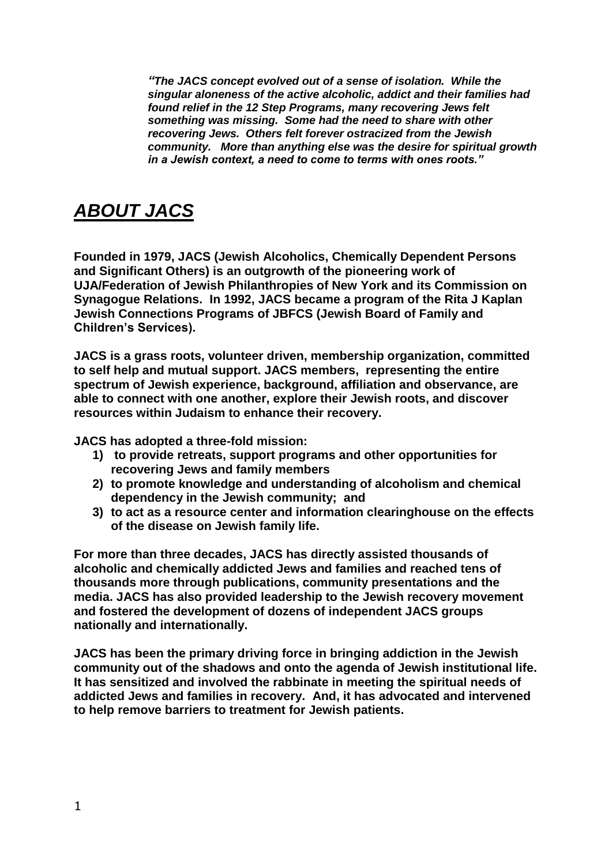*"The JACS concept evolved out of a sense of isolation. While the singular aloneness of the active alcoholic, addict and their families had found relief in the 12 Step Programs, many recovering Jews felt something was missing. Some had the need to share with other recovering Jews. Others felt forever ostracized from the Jewish community. More than anything else was the desire for spiritual growth in a Jewish context, a need to come to terms with ones roots."*

## *ABOUT JACS*

**Founded in 1979, JACS (Jewish Alcoholics, Chemically Dependent Persons and Significant Others) is an outgrowth of the pioneering work of UJA/Federation of Jewish Philanthropies of New York and its Commission on Synagogue Relations. In 1992, JACS became a program of the Rita J Kaplan Jewish Connections Programs of JBFCS (Jewish Board of Family and Children's Services).**

**JACS is a grass roots, volunteer driven, membership organization, committed to self help and mutual support. JACS members, representing the entire spectrum of Jewish experience, background, affiliation and observance, are able to connect with one another, explore their Jewish roots, and discover resources within Judaism to enhance their recovery.** 

**JACS has adopted a three-fold mission:** 

- **1) to provide retreats, support programs and other opportunities for recovering Jews and family members**
- **2) to promote knowledge and understanding of alcoholism and chemical dependency in the Jewish community; and**
- **3) to act as a resource center and information clearinghouse on the effects of the disease on Jewish family life.**

**For more than three decades, JACS has directly assisted thousands of alcoholic and chemically addicted Jews and families and reached tens of thousands more through publications, community presentations and the media. JACS has also provided leadership to the Jewish recovery movement and fostered the development of dozens of independent JACS groups nationally and internationally.** 

**JACS has been the primary driving force in bringing addiction in the Jewish community out of the shadows and onto the agenda of Jewish institutional life. It has sensitized and involved the rabbinate in meeting the spiritual needs of addicted Jews and families in recovery. And, it has advocated and intervened to help remove barriers to treatment for Jewish patients.**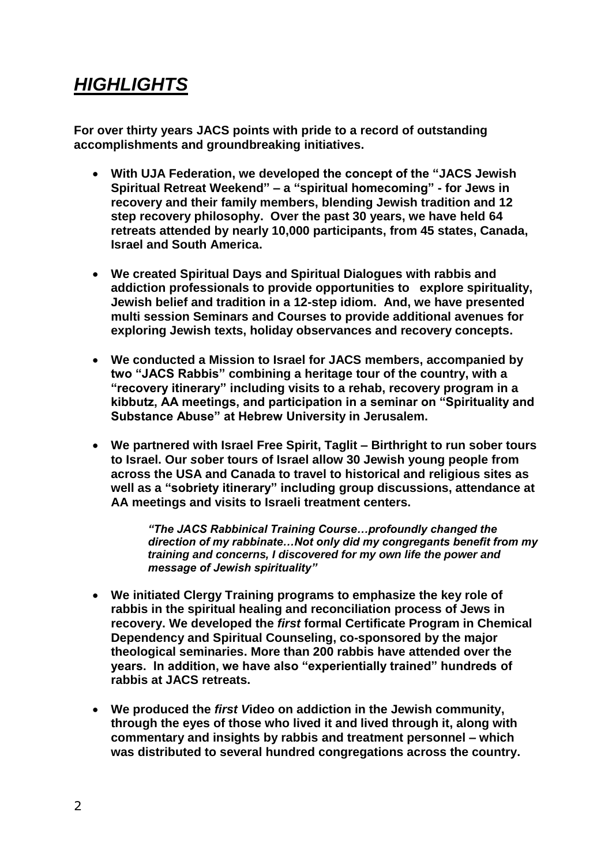## *HIGHLIGHTS*

**For over thirty years JACS points with pride to a record of outstanding accomplishments and groundbreaking initiatives.** 

- **With UJA Federation, we developed the concept of the "JACS Jewish Spiritual Retreat Weekend" – a "spiritual homecoming" - for Jews in recovery and their family members, blending Jewish tradition and 12 step recovery philosophy. Over the past 30 years, we have held 64 retreats attended by nearly 10,000 participants, from 45 states, Canada, Israel and South America.**
- **We created Spiritual Days and Spiritual Dialogues with rabbis and addiction professionals to provide opportunities to explore spirituality, Jewish belief and tradition in a 12-step idiom. And, we have presented multi session Seminars and Courses to provide additional avenues for exploring Jewish texts, holiday observances and recovery concepts.**
- **We conducted a Mission to Israel for JACS members, accompanied by two "JACS Rabbis" combining a heritage tour of the country, with a "recovery itinerary" including visits to a rehab, recovery program in a kibbutz, AA meetings, and participation in a seminar on "Spirituality and Substance Abuse" at Hebrew University in Jerusalem.**
- **We partnered with Israel Free Spirit, Taglit – Birthright to run sober tours to Israel. Our** *s***ober tours of Israel allow 30 Jewish young people from across the USA and Canada to travel to historical and religious sites as well as a "sobriety itinerary" including group discussions, attendance at AA meetings and visits to Israeli treatment centers.**

*"The JACS Rabbinical Training Course…profoundly changed the direction of my rabbinate…Not only did my congregants benefit from my training and concerns, I discovered for my own life the power and message of Jewish spirituality"* 

- **We initiated Clergy Training programs to emphasize the key role of rabbis in the spiritual healing and reconciliation process of Jews in recovery. We developed the** *first* **formal Certificate Program in Chemical Dependency and Spiritual Counseling, co-sponsored by the major theological seminaries. More than 200 rabbis have attended over the years. In addition, we have also "experientially trained" hundreds of rabbis at JACS retreats.**
- **We produced the** *first V***ideo on addiction in the Jewish community, through the eyes of those who lived it and lived through it, along with commentary and insights by rabbis and treatment personnel – which was distributed to several hundred congregations across the country.**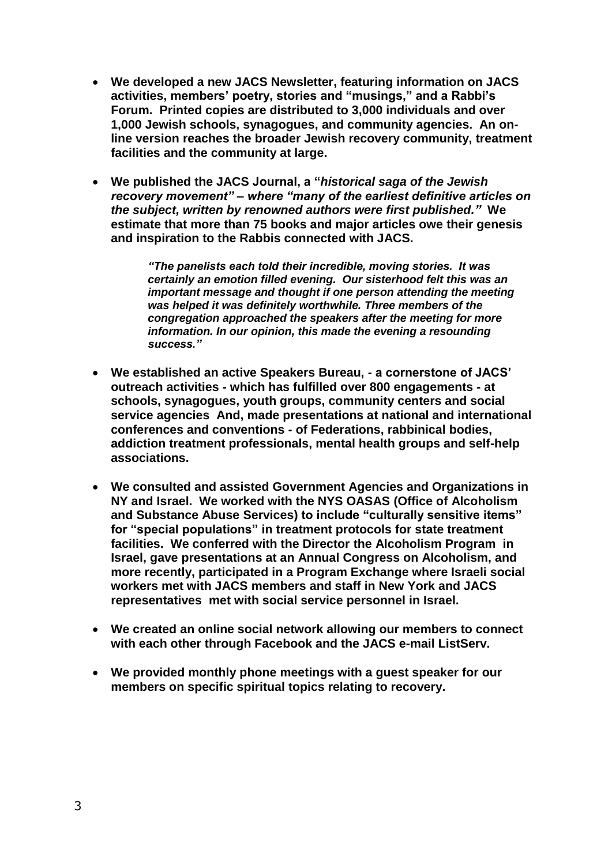- **We developed a new JACS Newsletter, featuring information on JACS activities, members' poetry, stories and "musings," and a Rabbi's Forum. Printed copies are distributed to 3,000 individuals and over 1,000 Jewish schools, synagogues, and community agencies. An online version reaches the broader Jewish recovery community, treatment facilities and the community at large.**
- **We published the JACS Journal, a "***historical saga of the Jewish recovery movement" – where "many of the earliest definitive articles on the subject, written by renowned authors were first published."* **We estimate that more than 75 books and major articles owe their genesis and inspiration to the Rabbis connected with JACS.**

*"The panelists each told their incredible, moving stories. It was certainly an emotion filled evening. Our sisterhood felt this was an important message and thought if one person attending the meeting was helped it was definitely worthwhile. Three members of the congregation approached the speakers after the meeting for more information. In our opinion, this made the evening a resounding success."*

- **We established an active Speakers Bureau, - a cornerstone of JACS' outreach activities - which has fulfilled over 800 engagements - at schools, synagogues, youth groups, community centers and social service agencies And, made presentations at national and international conferences and conventions - of Federations, rabbinical bodies, addiction treatment professionals, mental health groups and self-help associations.**
- **We consulted and assisted Government Agencies and Organizations in NY and Israel. We worked with the NYS OASAS (Office of Alcoholism and Substance Abuse Services) to include "culturally sensitive items" for "special populations" in treatment protocols for state treatment facilities. We conferred with the Director the Alcoholism Program in Israel, gave presentations at an Annual Congress on Alcoholism, and more recently, participated in a Program Exchange where Israeli social workers met with JACS members and staff in New York and JACS representatives met with social service personnel in Israel.**
- **We created an online social network allowing our members to connect with each other through Facebook and the JACS e-mail ListServ.**
- **We provided monthly phone meetings with a guest speaker for our members on specific spiritual topics relating to recovery.**